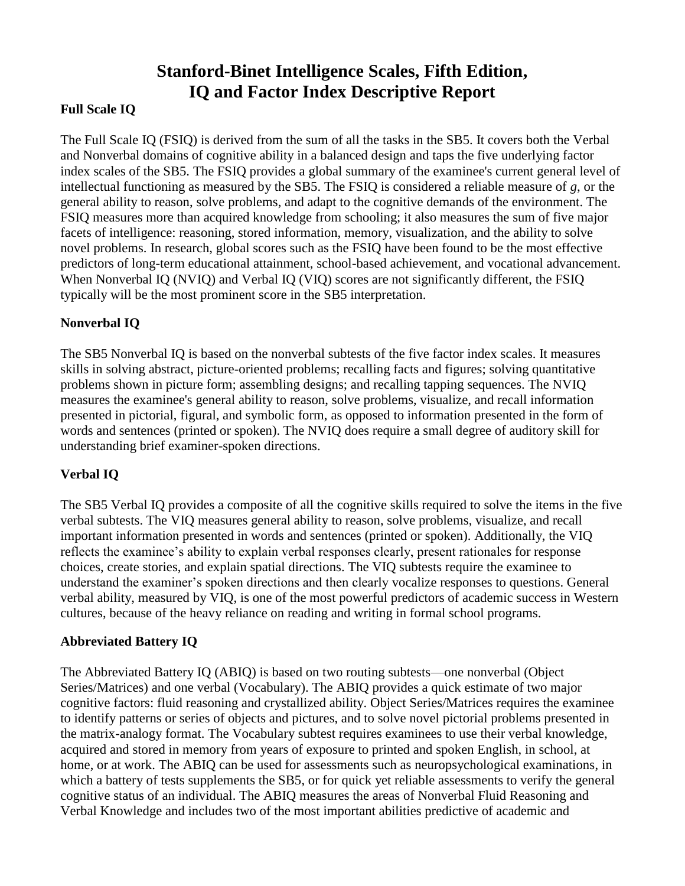# **Stanford-Binet Intelligence Scales, Fifth Edition, IQ and Factor Index Descriptive Report**

### **Full Scale IQ**

The Full Scale IQ (FSIQ) is derived from the sum of all the tasks in the SB5. It covers both the Verbal and Nonverbal domains of cognitive ability in a balanced design and taps the five underlying factor index scales of the SB5. The FSIQ provides a global summary of the examinee's current general level of intellectual functioning as measured by the SB5. The FSIQ is considered a reliable measure of *g*, or the general ability to reason, solve problems, and adapt to the cognitive demands of the environment. The FSIQ measures more than acquired knowledge from schooling; it also measures the sum of five major facets of intelligence: reasoning, stored information, memory, visualization, and the ability to solve novel problems. In research, global scores such as the FSIQ have been found to be the most effective predictors of long-term educational attainment, school-based achievement, and vocational advancement. When Nonverbal IQ (NVIQ) and Verbal IQ (VIQ) scores are not significantly different, the FSIQ typically will be the most prominent score in the SB5 interpretation.

# **Nonverbal IQ**

The SB5 Nonverbal IQ is based on the nonverbal subtests of the five factor index scales. It measures skills in solving abstract, picture-oriented problems; recalling facts and figures; solving quantitative problems shown in picture form; assembling designs; and recalling tapping sequences. The NVIQ measures the examinee's general ability to reason, solve problems, visualize, and recall information presented in pictorial, figural, and symbolic form, as opposed to information presented in the form of words and sentences (printed or spoken). The NVIQ does require a small degree of auditory skill for understanding brief examiner-spoken directions.

# **Verbal IQ**

The SB5 Verbal IQ provides a composite of all the cognitive skills required to solve the items in the five verbal subtests. The VIQ measures general ability to reason, solve problems, visualize, and recall important information presented in words and sentences (printed or spoken). Additionally, the VIQ reflects the examinee's ability to explain verbal responses clearly, present rationales for response choices, create stories, and explain spatial directions. The VIQ subtests require the examinee to understand the examiner's spoken directions and then clearly vocalize responses to questions. General verbal ability, measured by VIQ, is one of the most powerful predictors of academic success in Western cultures, because of the heavy reliance on reading and writing in formal school programs.

#### **Abbreviated Battery IQ**

The Abbreviated Battery IQ (ABIQ) is based on two routing subtests—one nonverbal (Object Series/Matrices) and one verbal (Vocabulary). The ABIQ provides a quick estimate of two major cognitive factors: fluid reasoning and crystallized ability. Object Series/Matrices requires the examinee to identify patterns or series of objects and pictures, and to solve novel pictorial problems presented in the matrix-analogy format. The Vocabulary subtest requires examinees to use their verbal knowledge, acquired and stored in memory from years of exposure to printed and spoken English, in school, at home, or at work. The ABIQ can be used for assessments such as neuropsychological examinations, in which a battery of tests supplements the SB5, or for quick yet reliable assessments to verify the general cognitive status of an individual. The ABIQ measures the areas of Nonverbal Fluid Reasoning and Verbal Knowledge and includes two of the most important abilities predictive of academic and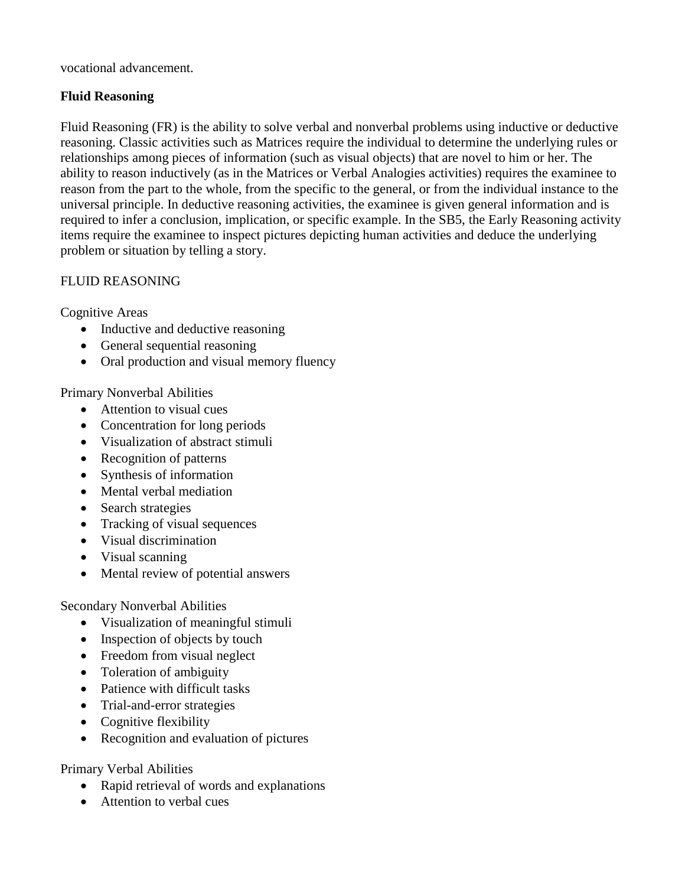vocational advancement.

### **Fluid Reasoning**

Fluid Reasoning (FR) is the ability to solve verbal and nonverbal problems using inductive or deductive reasoning. Classic activities such as Matrices require the individual to determine the underlying rules or relationships among pieces of information (such as visual objects) that are novel to him or her. The ability to reason inductively (as in the Matrices or Verbal Analogies activities) requires the examinee to reason from the part to the whole, from the specific to the general, or from the individual instance to the universal principle. In deductive reasoning activities, the examinee is given general information and is required to infer a conclusion, implication, or specific example. In the SB5, the Early Reasoning activity items require the examinee to inspect pictures depicting human activities and deduce the underlying problem or situation by telling a story.

#### FLUID REASONING

Cognitive Areas

- Inductive and deductive reasoning
- General sequential reasoning
- Oral production and visual memory fluency

Primary Nonverbal Abilities

- Attention to visual cues
- Concentration for long periods
- Visualization of abstract stimuli
- Recognition of patterns
- Synthesis of information
- Mental verbal mediation
- Search strategies
- Tracking of visual sequences
- Visual discrimination
- Visual scanning
- Mental review of potential answers

Secondary Nonverbal Abilities

- Visualization of meaningful stimuli
- Inspection of objects by touch
- Freedom from visual neglect
- Toleration of ambiguity
- Patience with difficult tasks
- Trial-and-error strategies
- Cognitive flexibility
- Recognition and evaluation of pictures

Primary Verbal Abilities

- Rapid retrieval of words and explanations
- Attention to verbal cues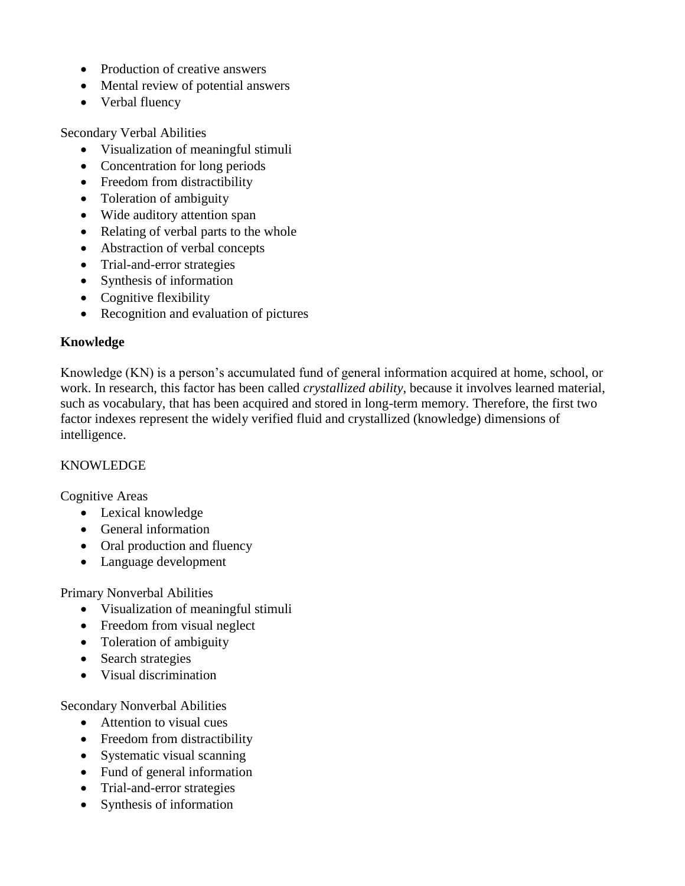- Production of creative answers
- Mental review of potential answers
- Verbal fluency

Secondary Verbal Abilities

- Visualization of meaningful stimuli
- Concentration for long periods
- Freedom from distractibility
- Toleration of ambiguity
- Wide auditory attention span
- Relating of verbal parts to the whole
- Abstraction of verbal concepts
- Trial-and-error strategies
- Synthesis of information
- Cognitive flexibility
- Recognition and evaluation of pictures

# **Knowledge**

Knowledge (KN) is a person's accumulated fund of general information acquired at home, school, or work. In research, this factor has been called *crystallized ability*, because it involves learned material, such as vocabulary, that has been acquired and stored in long-term memory. Therefore, the first two factor indexes represent the widely verified fluid and crystallized (knowledge) dimensions of intelligence.

#### KNOWLEDGE

Cognitive Areas

- Lexical knowledge
- General information
- Oral production and fluency
- Language development

Primary Nonverbal Abilities

- Visualization of meaningful stimuli
- Freedom from visual neglect
- Toleration of ambiguity
- Search strategies
- Visual discrimination

Secondary Nonverbal Abilities

- Attention to visual cues
- Freedom from distractibility
- Systematic visual scanning
- Fund of general information
- Trial-and-error strategies
- Synthesis of information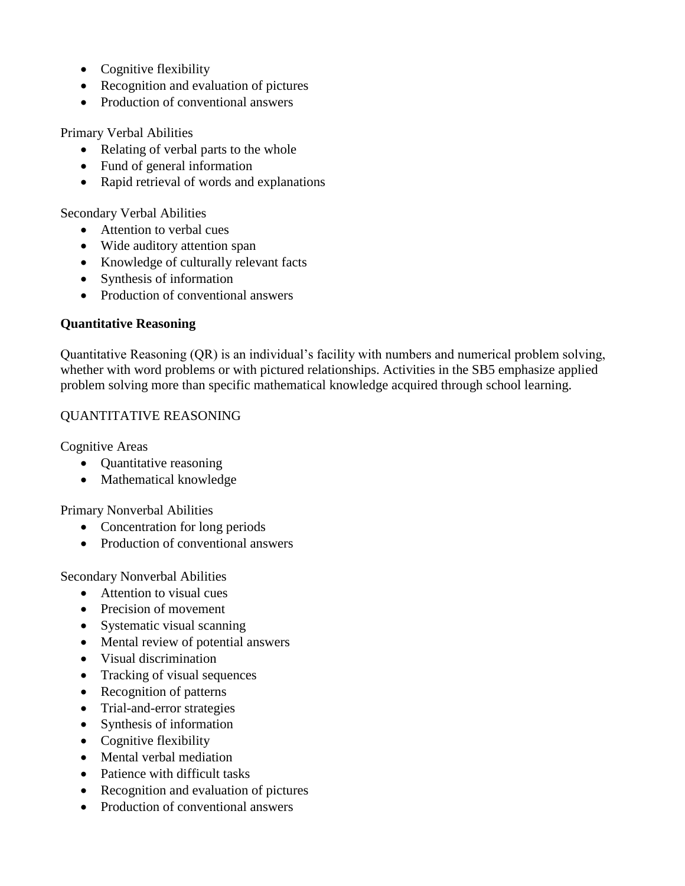- Cognitive flexibility
- Recognition and evaluation of pictures
- Production of conventional answers

Primary Verbal Abilities

- Relating of verbal parts to the whole
- Fund of general information
- Rapid retrieval of words and explanations

Secondary Verbal Abilities

- Attention to verbal cues
- Wide auditory attention span
- Knowledge of culturally relevant facts
- Synthesis of information
- Production of conventional answers

#### **Quantitative Reasoning**

Quantitative Reasoning (QR) is an individual's facility with numbers and numerical problem solving, whether with word problems or with pictured relationships. Activities in the SB5 emphasize applied problem solving more than specific mathematical knowledge acquired through school learning.

#### QUANTITATIVE REASONING

Cognitive Areas

- Quantitative reasoning
- Mathematical knowledge

Primary Nonverbal Abilities

- Concentration for long periods
- Production of conventional answers

Secondary Nonverbal Abilities

- Attention to visual cues
- Precision of movement
- Systematic visual scanning
- Mental review of potential answers
- Visual discrimination
- Tracking of visual sequences
- Recognition of patterns
- Trial-and-error strategies
- Synthesis of information
- Cognitive flexibility
- Mental verbal mediation
- Patience with difficult tasks
- Recognition and evaluation of pictures
- Production of conventional answers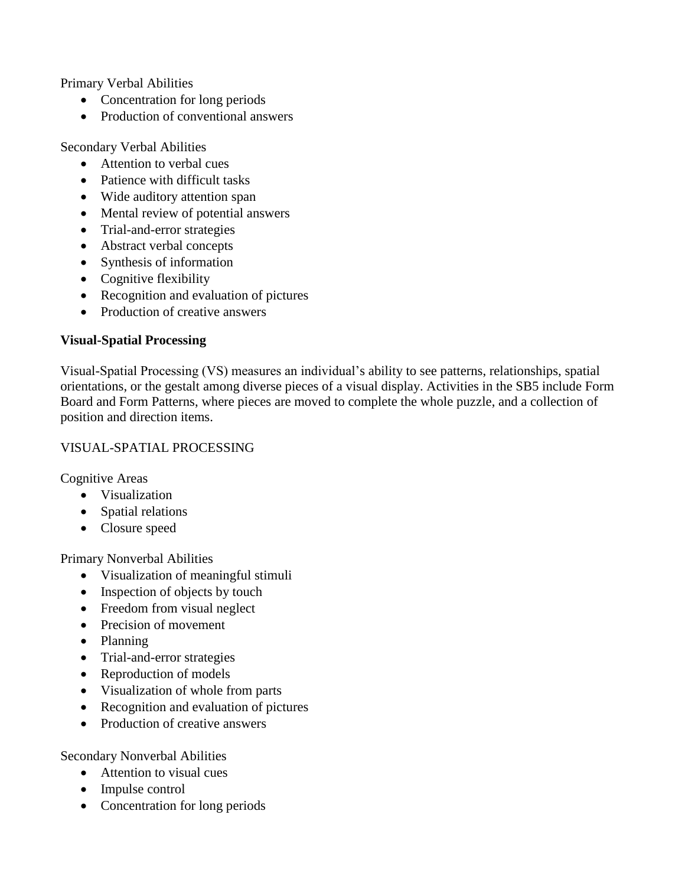Primary Verbal Abilities

- Concentration for long periods
- Production of conventional answers

Secondary Verbal Abilities

- Attention to verbal cues
- Patience with difficult tasks
- Wide auditory attention span
- Mental review of potential answers
- Trial-and-error strategies
- Abstract verbal concepts
- Synthesis of information
- Cognitive flexibility
- Recognition and evaluation of pictures
- Production of creative answers

# **Visual-Spatial Processing**

Visual-Spatial Processing (VS) measures an individual's ability to see patterns, relationships, spatial orientations, or the gestalt among diverse pieces of a visual display. Activities in the SB5 include Form Board and Form Patterns, where pieces are moved to complete the whole puzzle, and a collection of position and direction items.

### VISUAL-SPATIAL PROCESSING

Cognitive Areas

- Visualization
- Spatial relations
- Closure speed

Primary Nonverbal Abilities

- Visualization of meaningful stimuli
- Inspection of objects by touch
- Freedom from visual neglect
- Precision of movement
- Planning
- Trial-and-error strategies
- Reproduction of models
- Visualization of whole from parts
- Recognition and evaluation of pictures
- Production of creative answers

Secondary Nonverbal Abilities

- Attention to visual cues
- Impulse control
- Concentration for long periods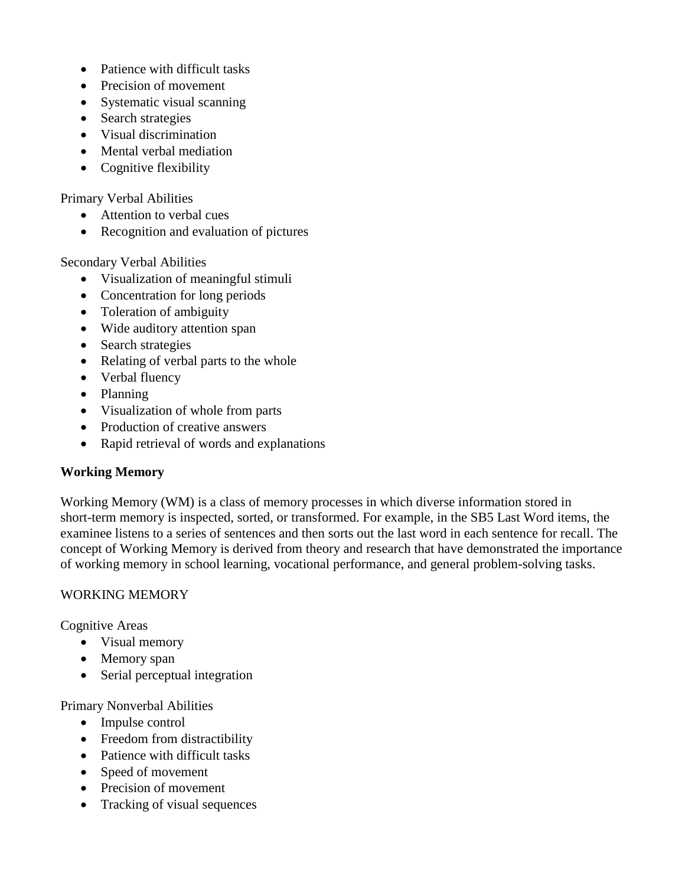- Patience with difficult tasks
- Precision of movement
- Systematic visual scanning
- Search strategies
- Visual discrimination
- Mental verbal mediation
- Cognitive flexibility

#### Primary Verbal Abilities

- Attention to verbal cues
- Recognition and evaluation of pictures

Secondary Verbal Abilities

- Visualization of meaningful stimuli
- Concentration for long periods
- Toleration of ambiguity
- Wide auditory attention span
- Search strategies
- Relating of verbal parts to the whole
- Verbal fluency
- Planning
- Visualization of whole from parts
- Production of creative answers
- Rapid retrieval of words and explanations

#### **Working Memory**

Working Memory (WM) is a class of memory processes in which diverse information stored in short-term memory is inspected, sorted, or transformed. For example, in the SB5 Last Word items, the examinee listens to a series of sentences and then sorts out the last word in each sentence for recall. The concept of Working Memory is derived from theory and research that have demonstrated the importance of working memory in school learning, vocational performance, and general problem-solving tasks.

#### WORKING MEMORY

Cognitive Areas

- Visual memory
- Memory span
- Serial perceptual integration

Primary Nonverbal Abilities

- Impulse control
- Freedom from distractibility
- Patience with difficult tasks
- Speed of movement
- Precision of movement
- Tracking of visual sequences